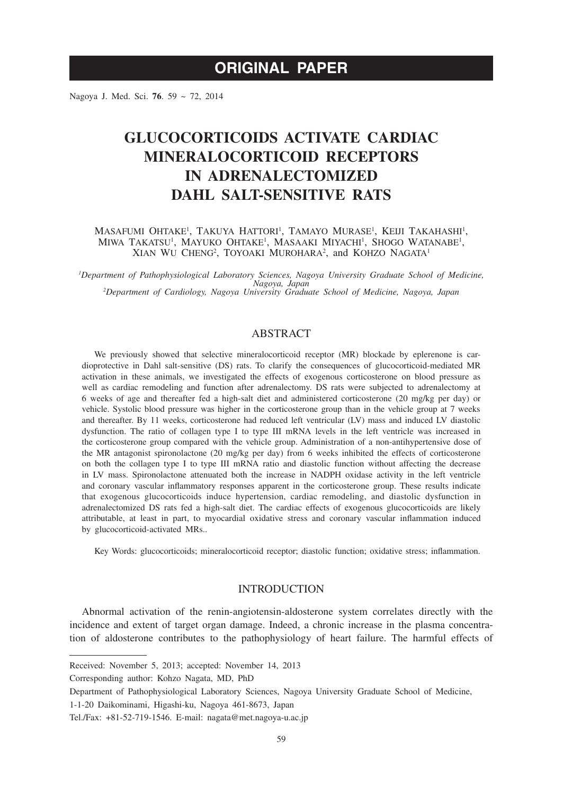Nagoya J. Med. Sci. **76**. 59 ~ 72, 2014

# **GLUCOCORTICOIDS ACTIVATE CARDIAC MINERALOCORTICOID RECEPTORS IN ADRENALECTOMIZED DAHL SALT-SENSITIVE RATS**

# MASAFUMI OHTAKE<sup>1</sup>, TAKUYA HATTORI<sup>1</sup>, TAMAYO MURASE<sup>1</sup>, KEIJI TAKAHASHI<sup>1</sup>, MIWA TAKATSU<sup>1</sup>, MAYUKO OHTAKE<sup>1</sup>, MASAAKI MIYACHI<sup>1</sup>, SHOGO WATANABE<sup>1</sup>, XIAN WU CHENG<sup>2</sup>, TOYOAKI MUROHARA<sup>2</sup>, and KOHZO NAGATA<sup>1</sup>

*1 Department of Pathophysiological Laboratory Sciences, Nagoya University Graduate School of Medicine, Nagoya, Japan <sup>2</sup> Department of Cardiology, Nagoya University Graduate School of Medicine, Nagoya, Japan*

# ABSTRACT

We previously showed that selective mineralocorticoid receptor (MR) blockade by eplerenone is cardioprotective in Dahl salt-sensitive (DS) rats. To clarify the consequences of glucocorticoid-mediated MR activation in these animals, we investigated the effects of exogenous corticosterone on blood pressure as well as cardiac remodeling and function after adrenalectomy. DS rats were subjected to adrenalectomy at 6 weeks of age and thereafter fed a high-salt diet and administered corticosterone (20 mg/kg per day) or vehicle. Systolic blood pressure was higher in the corticosterone group than in the vehicle group at 7 weeks and thereafter. By 11 weeks, corticosterone had reduced left ventricular (LV) mass and induced LV diastolic dysfunction. The ratio of collagen type I to type III mRNA levels in the left ventricle was increased in the corticosterone group compared with the vehicle group. Administration of a non-antihypertensive dose of the MR antagonist spironolactone (20 mg/kg per day) from 6 weeks inhibited the effects of corticosterone on both the collagen type I to type III mRNA ratio and diastolic function without affecting the decrease in LV mass. Spironolactone attenuated both the increase in NADPH oxidase activity in the left ventricle and coronary vascular inflammatory responses apparent in the corticosterone group. These results indicate that exogenous glucocorticoids induce hypertension, cardiac remodeling, and diastolic dysfunction in adrenalectomized DS rats fed a high-salt diet. The cardiac effects of exogenous glucocorticoids are likely attributable, at least in part, to myocardial oxidative stress and coronary vascular inflammation induced by glucocorticoid-activated MRs..

Key Words: glucocorticoids; mineralocorticoid receptor; diastolic function; oxidative stress; inflammation.

# INTRODUCTION

Abnormal activation of the renin-angiotensin-aldosterone system correlates directly with the incidence and extent of target organ damage. Indeed, a chronic increase in the plasma concentration of aldosterone contributes to the pathophysiology of heart failure. The harmful effects of

Received: November 5, 2013; accepted: November 14, 2013

Corresponding author: Kohzo Nagata, MD, PhD

Department of Pathophysiological Laboratory Sciences, Nagoya University Graduate School of Medicine,

<sup>1-1-20</sup> Daikominami, Higashi-ku, Nagoya 461-8673, Japan

Tel./Fax: +81-52-719-1546. E-mail: nagata@met.nagoya-u.ac.jp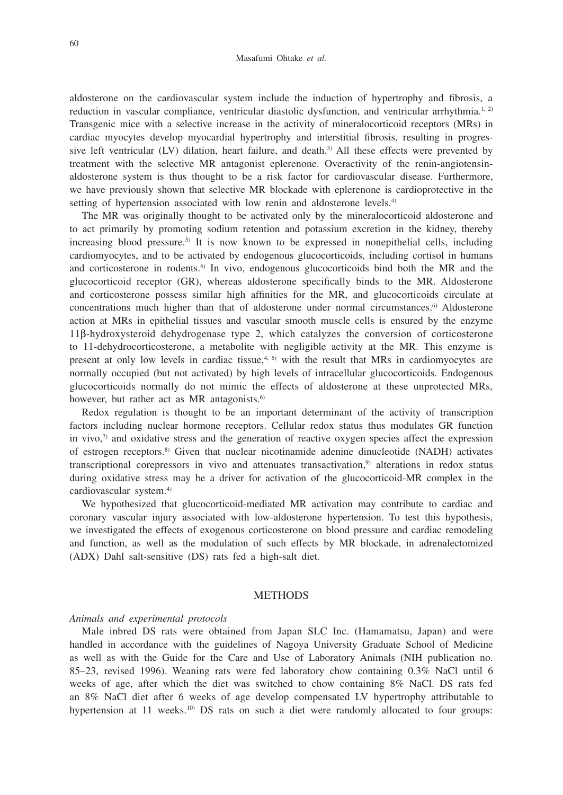aldosterone on the cardiovascular system include the induction of hypertrophy and fibrosis, a reduction in vascular compliance, ventricular diastolic dysfunction, and ventricular arrhythmia.<sup>1, 2)</sup> Transgenic mice with a selective increase in the activity of mineralocorticoid receptors (MRs) in cardiac myocytes develop myocardial hypertrophy and interstitial fibrosis, resulting in progressive left ventricular (LV) dilation, heart failure, and death.<sup>3)</sup> All these effects were prevented by treatment with the selective MR antagonist eplerenone. Overactivity of the renin-angiotensinaldosterone system is thus thought to be a risk factor for cardiovascular disease. Furthermore, we have previously shown that selective MR blockade with eplerenone is cardioprotective in the setting of hypertension associated with low renin and aldosterone levels.<sup>4)</sup>

The MR was originally thought to be activated only by the mineralocorticoid aldosterone and to act primarily by promoting sodium retention and potassium excretion in the kidney, thereby increasing blood pressure.<sup>5)</sup> It is now known to be expressed in nonepithelial cells, including cardiomyocytes, and to be activated by endogenous glucocorticoids, including cortisol in humans and corticosterone in rodents.<sup>6)</sup> In vivo, endogenous glucocorticoids bind both the MR and the glucocorticoid receptor (GR), whereas aldosterone specifically binds to the MR. Aldosterone and corticosterone possess similar high affinities for the MR, and glucocorticoids circulate at concentrations much higher than that of aldosterone under normal circumstances.<sup>6)</sup> Aldosterone action at MRs in epithelial tissues and vascular smooth muscle cells is ensured by the enzyme 11β-hydroxysteroid dehydrogenase type 2, which catalyzes the conversion of corticosterone to 11-dehydrocorticosterone, a metabolite with negligible activity at the MR. This enzyme is present at only low levels in cardiac tissue, $4, 6$  with the result that MRs in cardiomyocytes are normally occupied (but not activated) by high levels of intracellular glucocorticoids. Endogenous glucocorticoids normally do not mimic the effects of aldosterone at these unprotected MRs, however, but rather act as MR antagonists.<sup>6)</sup>

Redox regulation is thought to be an important determinant of the activity of transcription factors including nuclear hormone receptors. Cellular redox status thus modulates GR function in vivo, $\eta$  and oxidative stress and the generation of reactive oxygen species affect the expression of estrogen receptors.8) Given that nuclear nicotinamide adenine dinucleotide (NADH) activates transcriptional corepressors in vivo and attenuates transactivation,<sup>9)</sup> alterations in redox status during oxidative stress may be a driver for activation of the glucocorticoid-MR complex in the cardiovascular system.4)

We hypothesized that glucocorticoid-mediated MR activation may contribute to cardiac and coronary vascular injury associated with low-aldosterone hypertension. To test this hypothesis, we investigated the effects of exogenous corticosterone on blood pressure and cardiac remodeling and function, as well as the modulation of such effects by MR blockade, in adrenalectomized (ADX) Dahl salt-sensitive (DS) rats fed a high-salt diet.

#### METHODS

### *Animals and experimental protocols*

Male inbred DS rats were obtained from Japan SLC Inc. (Hamamatsu, Japan) and were handled in accordance with the guidelines of Nagoya University Graduate School of Medicine as well as with the Guide for the Care and Use of Laboratory Animals (NIH publication no. 85–23, revised 1996). Weaning rats were fed laboratory chow containing 0.3% NaCl until 6 weeks of age, after which the diet was switched to chow containing 8% NaCl. DS rats fed an 8% NaCl diet after 6 weeks of age develop compensated LV hypertrophy attributable to hypertension at  $11$  weeks.<sup>10)</sup> DS rats on such a diet were randomly allocated to four groups: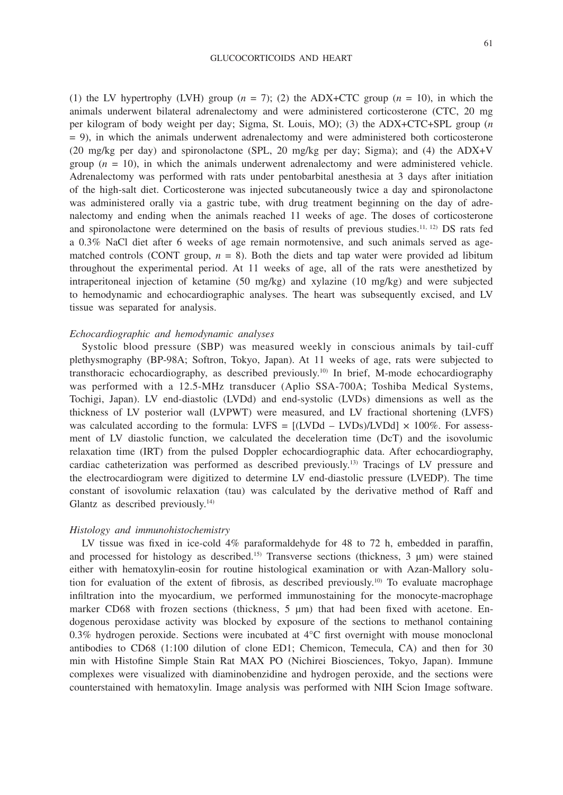(1) the LV hypertrophy (LVH) group  $(n = 7)$ ; (2) the ADX+CTC group  $(n = 10)$ , in which the animals underwent bilateral adrenalectomy and were administered corticosterone (CTC, 20 mg per kilogram of body weight per day; Sigma, St. Louis, MO); (3) the ADX+CTC+SPL group (*n*  $= 9$ ), in which the animals underwent adrenalectomy and were administered both corticosterone (20 mg/kg per day) and spironolactone (SPL, 20 mg/kg per day; Sigma); and (4) the ADX+V group  $(n = 10)$ , in which the animals underwent adrenalectomy and were administered vehicle. Adrenalectomy was performed with rats under pentobarbital anesthesia at 3 days after initiation of the high-salt diet. Corticosterone was injected subcutaneously twice a day and spironolactone was administered orally via a gastric tube, with drug treatment beginning on the day of adrenalectomy and ending when the animals reached 11 weeks of age. The doses of corticosterone and spironolactone were determined on the basis of results of previous studies.11, 12) DS rats fed a 0.3% NaCl diet after 6 weeks of age remain normotensive, and such animals served as agematched controls (CONT group,  $n = 8$ ). Both the diets and tap water were provided ad libitum throughout the experimental period. At 11 weeks of age, all of the rats were anesthetized by intraperitoneal injection of ketamine (50 mg/kg) and xylazine (10 mg/kg) and were subjected to hemodynamic and echocardiographic analyses. The heart was subsequently excised, and LV tissue was separated for analysis.

# *Echocardiographic and hemodynamic analyses*

Systolic blood pressure (SBP) was measured weekly in conscious animals by tail-cuff plethysmography (BP-98A; Softron, Tokyo, Japan). At 11 weeks of age, rats were subjected to transthoracic echocardiography, as described previously.10) In brief, M-mode echocardiography was performed with a 12.5-MHz transducer (Aplio SSA-700A; Toshiba Medical Systems, Tochigi, Japan). LV end-diastolic (LVDd) and end-systolic (LVDs) dimensions as well as the thickness of LV posterior wall (LVPWT) were measured, and LV fractional shortening (LVFS) was calculated according to the formula: LVFS =  $[(LVDd – LVDs)/LVDd] \times 100\%$ . For assessment of LV diastolic function, we calculated the deceleration time (DcT) and the isovolumic relaxation time (IRT) from the pulsed Doppler echocardiographic data. After echocardiography, cardiac catheterization was performed as described previously.13) Tracings of LV pressure and the electrocardiogram were digitized to determine LV end-diastolic pressure (LVEDP). The time constant of isovolumic relaxation (tau) was calculated by the derivative method of Raff and Glantz as described previously.<sup>14)</sup>

#### *Histology and immunohistochemistry*

LV tissue was fixed in ice-cold 4% paraformaldehyde for 48 to 72 h, embedded in paraffin, and processed for histology as described.<sup>15)</sup> Transverse sections (thickness,  $3 \mu m$ ) were stained either with hematoxylin-eosin for routine histological examination or with Azan-Mallory solution for evaluation of the extent of fibrosis, as described previously.<sup>10)</sup> To evaluate macrophage infiltration into the myocardium, we performed immunostaining for the monocyte-macrophage marker CD68 with frozen sections (thickness,  $5 \mu m$ ) that had been fixed with acetone. Endogenous peroxidase activity was blocked by exposure of the sections to methanol containing 0.3% hydrogen peroxide. Sections were incubated at  $4^{\circ}$ C first overnight with mouse monoclonal antibodies to CD68 (1:100 dilution of clone ED1; Chemicon, Temecula, CA) and then for 30 min with Histofine Simple Stain Rat MAX PO (Nichirei Biosciences, Tokyo, Japan). Immune complexes were visualized with diaminobenzidine and hydrogen peroxide, and the sections were counterstained with hematoxylin. Image analysis was performed with NIH Scion Image software.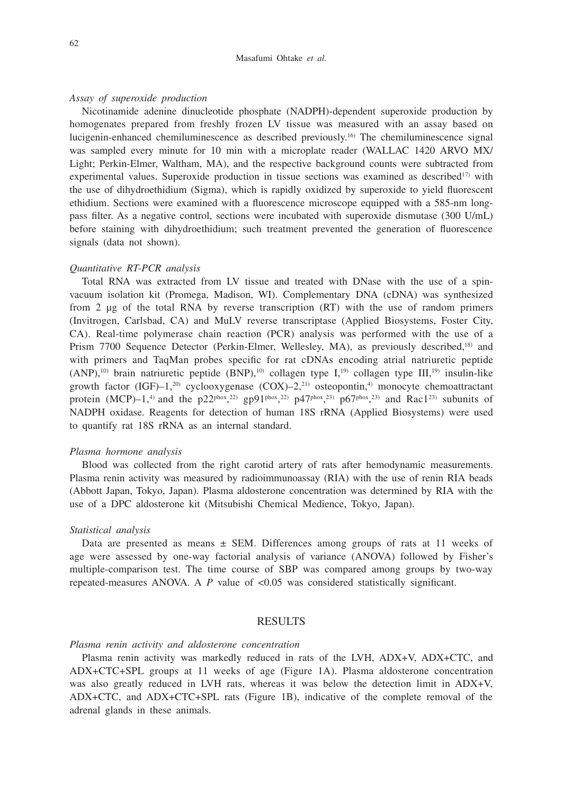#### Masafumi Ohtake *et al.*

#### *Assay of superoxide production*

Nicotinamide adenine dinucleotide phosphate (NADPH)-dependent superoxide production by homogenates prepared from freshly frozen LV tissue was measured with an assay based on lucigenin-enhanced chemiluminescence as described previously.16) The chemiluminescence signal was sampled every minute for 10 min with a microplate reader (WALLAC 1420 ARVO MX/ Light; Perkin-Elmer, Waltham, MA), and the respective background counts were subtracted from experimental values. Superoxide production in tissue sections was examined as described $17$ ) with the use of dihydroethidium (Sigma), which is rapidly oxidized by superoxide to yield fluorescent ethidium. Sections were examined with a fluorescence microscope equipped with a 585-nm longpass filter. As a negative control, sections were incubated with superoxide dismutase (300 U/mL) before staining with dihydroethidium; such treatment prevented the generation of fluorescence signals (data not shown).

#### *Quantitative RT-PCR analysis*

Total RNA was extracted from LV tissue and treated with DNase with the use of a spinvacuum isolation kit (Promega, Madison, WI). Complementary DNA (cDNA) was synthesized from 2 µg of the total RNA by reverse transcription (RT) with the use of random primers (Invitrogen, Carlsbad, CA) and MuLV reverse transcriptase (Applied Biosystems, Foster City, CA). Real-time polymerase chain reaction (PCR) analysis was performed with the use of a Prism 7700 Sequence Detector (Perkin-Elmer, Wellesley, MA), as previously described,18) and with primers and TaqMan probes specific for rat cDNAs encoding atrial natriuretic peptide  $(ANP)$ ,<sup>10)</sup> brain natriuretic peptide  $(BNP)$ ,<sup>10)</sup> collagen type I,<sup>19</sup>) collagen type III,<sup>19)</sup> insulin-like growth factor (IGF)–1,<sup>20)</sup> cyclooxygenase (COX)–2,<sup>21)</sup> osteopontin,<sup>4)</sup> monocyte chemoattractant protein (MCP)–1,<sup>4)</sup> and the p22<sup>phox</sup>,<sup>22)</sup> gp91<sup>phox</sup>,<sup>22)</sup> p47<sup>phox</sup>,<sup>23</sup>) p67<sup>phox</sup>,<sup>23</sup> and Rac1<sup>23</sup> subunits of NADPH oxidase. Reagents for detection of human 18S rRNA (Applied Biosystems) were used to quantify rat 18S rRNA as an internal standard.

## *Plasma hormone analysis*

Blood was collected from the right carotid artery of rats after hemodynamic measurements. Plasma renin activity was measured by radioimmunoassay (RIA) with the use of renin RIA beads (Abbott Japan, Tokyo, Japan). Plasma aldosterone concentration was determined by RIA with the use of a DPC aldosterone kit (Mitsubishi Chemical Medience, Tokyo, Japan).

#### *Statistical analysis*

Data are presented as means  $\pm$  SEM. Differences among groups of rats at 11 weeks of age were assessed by one-way factorial analysis of variance (ANOVA) followed by Fisher's multiple-comparison test. The time course of SBP was compared among groups by two-way repeated-measures ANOVA. A  $P$  value of  $\lt 0.05$  was considered statistically significant.

# RESULTS

#### *Plasma renin activity and aldosterone concentration*

Plasma renin activity was markedly reduced in rats of the LVH, ADX+V, ADX+CTC, and ADX+CTC+SPL groups at 11 weeks of age (Figure 1A). Plasma aldosterone concentration was also greatly reduced in LVH rats, whereas it was below the detection limit in ADX+V, ADX+CTC, and ADX+CTC+SPL rats (Figure 1B), indicative of the complete removal of the adrenal glands in these animals.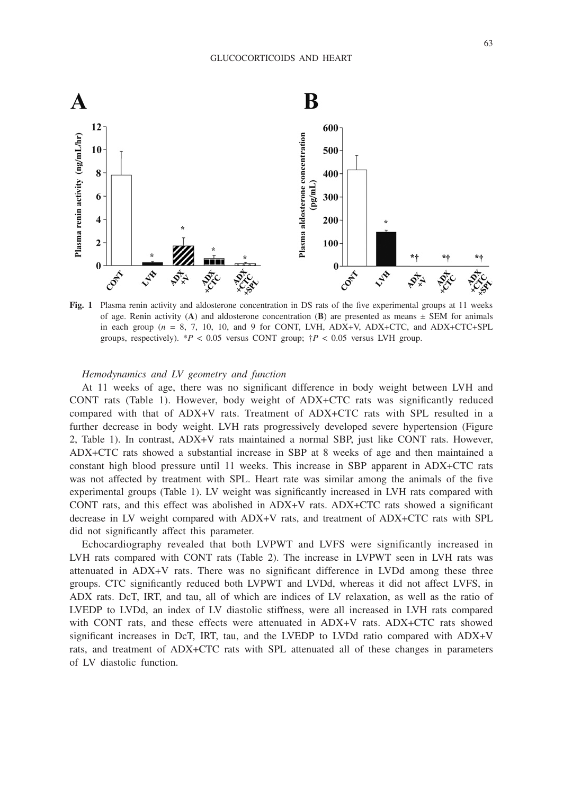

**Fig. 1** Plasma renin activity and aldosterone concentration in DS rats of the five experimental groups at 11 weeks of age. Renin activity  $(A)$  and aldosterone concentration  $(B)$  are presented as means  $\pm$  SEM for animals in each group ( $n = 8, 7, 10, 10,$  and 9 for CONT, LVH, ADX+V, ADX+CTC, and ADX+CTC+SPL groups, respectively).  $*P < 0.05$  versus CONT group;  $\dagger P < 0.05$  versus LVH group.

# *Hemodynamics and LV geometry and function*

At 11 weeks of age, there was no significant difference in body weight between LVH and CONT rats (Table 1). However, body weight of ADX+CTC rats was significantly reduced compared with that of ADX+V rats. Treatment of ADX+CTC rats with SPL resulted in a further decrease in body weight. LVH rats progressively developed severe hypertension (Figure 2, Table 1). In contrast, ADX+V rats maintained a normal SBP, just like CONT rats. However, ADX+CTC rats showed a substantial increase in SBP at 8 weeks of age and then maintained a constant high blood pressure until 11 weeks. This increase in SBP apparent in ADX+CTC rats was not affected by treatment with SPL. Heart rate was similar among the animals of the five experimental groups (Table 1). LV weight was significantly increased in LVH rats compared with CONT rats, and this effect was abolished in ADX+V rats. ADX+CTC rats showed a significant decrease in LV weight compared with ADX+V rats, and treatment of ADX+CTC rats with SPL did not significantly affect this parameter.

Echocardiography revealed that both LVPWT and LVFS were significantly increased in LVH rats compared with CONT rats (Table 2). The increase in LVPWT seen in LVH rats was attenuated in ADX+V rats. There was no significant difference in LVDd among these three groups. CTC significantly reduced both LVPWT and LVDd, whereas it did not affect LVFS, in ADX rats. DcT, IRT, and tau, all of which are indices of LV relaxation, as well as the ratio of LVEDP to LVDd, an index of LV diastolic stiffness, were all increased in LVH rats compared with CONT rats, and these effects were attenuated in ADX+V rats. ADX+CTC rats showed significant increases in DcT, IRT, tau, and the LVEDP to LVDd ratio compared with ADX+V rats, and treatment of ADX+CTC rats with SPL attenuated all of these changes in parameters of LV diastolic function.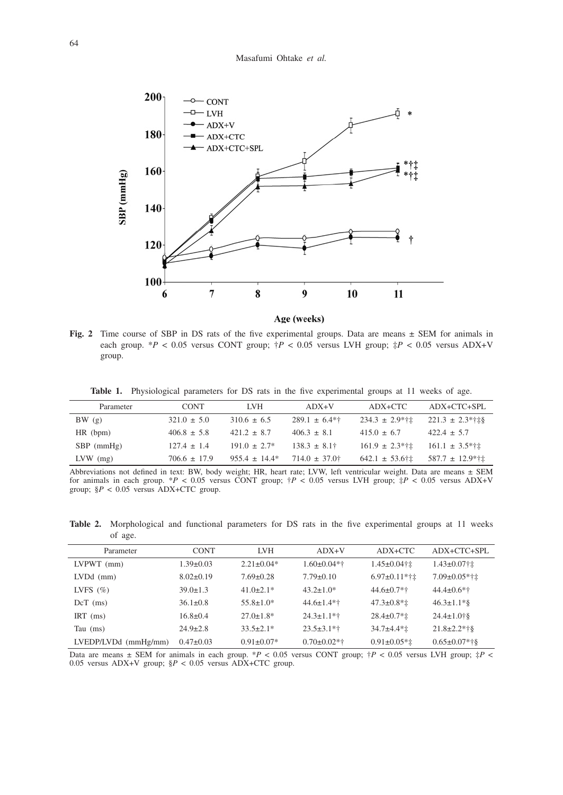

Age (weeks)

**Fig. 2** Time course of SBP in DS rats of the five experimental groups. Data are means  $\pm$  SEM for animals in each group.  $*P < 0.05$  versus CONT group;  $\dot{\uparrow}P < 0.05$  versus LVH group;  $\dot{\uparrow}P < 0.05$  versus ADX+V group.

**Table 1.** Physiological parameters for DS rats in the five experimental groups at 11 weeks of age.

| Parameter    | <b>CONT</b>      | <b>LVH</b>         | $ADX+V$            | ADX+CTC             | ADX+CTC+SPL          |
|--------------|------------------|--------------------|--------------------|---------------------|----------------------|
| BW(g)        | $321.0 \pm 5.0$  | $310.6 \pm 6.5$    | $289.1 \pm 6.4**$  | $234.3 \pm 2.9$ *†± | $221.3 \pm 2.3$ *†‡§ |
| $HR$ (bpm)   | $406.8 \pm 5.8$  | $421.2 \pm 8.7$    | $406.3 \pm 8.1$    | $415.0 \pm 6.7$     | $422.4 \pm 5.7$      |
| $SBP$ (mmHg) | $127.4 \pm 1.4$  | $191.0 \pm 2.7^*$  | $138.3 \pm 8.1^+$  | $161.9 \pm 2.3$ *†± | $161.1 \pm 3.5$ *†±  |
| $LVW$ (mg)   | $706.6 \pm 17.9$ | $955.4 \pm 14.4^*$ | $714.0 \pm 37.0^+$ | $642.1 \pm 53.6$ †± | $587.7 \pm 12.9$ *†± |

Abbreviations not defined in text: BW, body weight; HR, heart rate; LVW, left ventricular weight. Data are means ± SEM for animals in each group. \**P* < 0.05 versus CONT group; †*P* < 0.05 versus LVH group; ‡*P* < 0.05 versus ADX+V group; §*P* < 0.05 versus ADX+CTC group.

**Table 2.** Morphological and functional parameters for DS rats in the five experimental groups at 11 weeks of age.

| Parameter                  | <b>CONT</b>     | <b>LVH</b>       | $ADX+V$            | $ADX+CTC$                | $ADX+CTC+SPL$       |
|----------------------------|-----------------|------------------|--------------------|--------------------------|---------------------|
| $LVPWT$ (mm)               | $1.39 \pm 0.03$ | $2.21 \pm 0.04*$ | $1.60 \pm 0.04**$  | $1.45 \pm 0.04$ †±       | $1.43 \pm 0.07$ †±  |
| $LVDd$ (mm)                | $8.02 \pm 0.19$ | $7.69 \pm 0.28$  | $7.79 \pm 0.10$    | $6.97 \pm 0.11$ *† $\pm$ | $7.09 \pm 0.05$ *†‡ |
| LVFS $(\% )$               | $39.0 \pm 1.3$  | $41.0 \pm 2.1*$  | $43.2 \pm 1.0^*$   | $44.6 \pm 0.7$ *†        | $44.4 \pm 0.6$ *†   |
| $DcT$ (ms)                 | $36.1 \pm 0.8$  | $55.8 \pm 1.0*$  | $44.6 \pm 1.4$ *†  | $47.3 \pm 0.8$ *‡        | $46.3 \pm 1.1$ * §  |
| IRT $(ms)$                 | $16.8 \pm 0.4$  | $27.0 \pm 1.8^*$ | $24.3 \pm 1.1$ *†  | $28.4 \pm 0.7$ *1        | $24.4 \pm 1.0 + 8$  |
| Tau (ms)                   | $24.9 \pm 2.8$  | $33.5 \pm 2.1*$  | $23.5 \pm 3.1$ *†  | $34.7 + 4.4$ **          | $21.8 \pm 2.2$ *†§  |
| $LVEDP/LVDd$ (mm $Hg/mm$ ) | $0.47 \pm 0.03$ | $0.91 \pm 0.07*$ | $0.70 \pm 0.02$ *† | $0.91 \pm 0.05 \times 1$ | $0.65 \pm 0.07$ *†§ |

Data are means  $\pm$  SEM for animals in each group. \**P* < 0.05 versus CONT group;  $\frac{1}{7}P$  < 0.05 versus LVH group;  $\frac{1}{7}P$  < 0.05 versus ADX+V group; §*P* < 0.05 versus ADX+CTC group.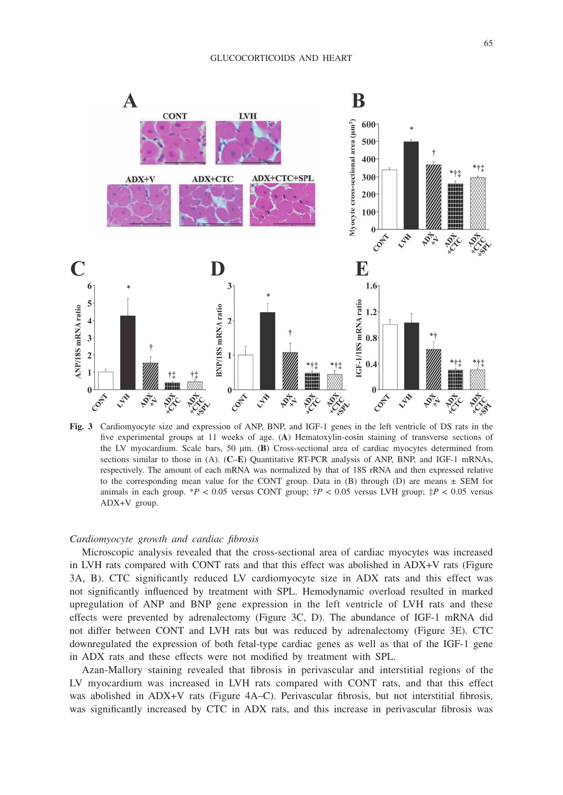

**Fig. 3** Cardiomyocyte size and expression of ANP, BNP, and IGF-1 genes in the left ventricle of DS rats in the five experimental groups at 11 weeks of age. (**A**) Hematoxylin-eosin staining of transverse sections of the LV myocardium. Scale bars, 50 µm. (**B**) Cross-sectional area of cardiac myocytes determined from sections similar to those in (A). (**C**–**E**) Quantitative RT-PCR analysis of ANP, BNP, and IGF-1 mRNAs, respectively. The amount of each mRNA was normalized by that of 18S rRNA and then expressed relative to the corresponding mean value for the CONT group. Data in  $(B)$  through  $(D)$  are means  $\pm$  SEM for animals in each group. \**P* < 0.05 versus CONT group; †*P* < 0.05 versus LVH group; ‡*P* < 0.05 versus ADX+V group.

#### *Cardiomyocyte growth and cardiac fibrosis*

Microscopic analysis revealed that the cross-sectional area of cardiac myocytes was increased in LVH rats compared with CONT rats and that this effect was abolished in ADX+V rats (Figure 3A, B). CTC significantly reduced LV cardiomyocyte size in ADX rats and this effect was not significantly influenced by treatment with SPL. Hemodynamic overload resulted in marked upregulation of ANP and BNP gene expression in the left ventricle of LVH rats and these effects were prevented by adrenalectomy (Figure 3C, D). The abundance of IGF-1 mRNA did not differ between CONT and LVH rats but was reduced by adrenalectomy (Figure 3E). CTC downregulated the expression of both fetal-type cardiac genes as well as that of the IGF-1 gene in ADX rats and these effects were not modified by treatment with SPL.

Azan-Mallory staining revealed that fibrosis in perivascular and interstitial regions of the LV myocardium was increased in LVH rats compared with CONT rats, and that this effect was abolished in ADX+V rats (Figure 4A–C). Perivascular fibrosis, but not interstitial fibrosis, was significantly increased by CTC in ADX rats, and this increase in perivascular fibrosis was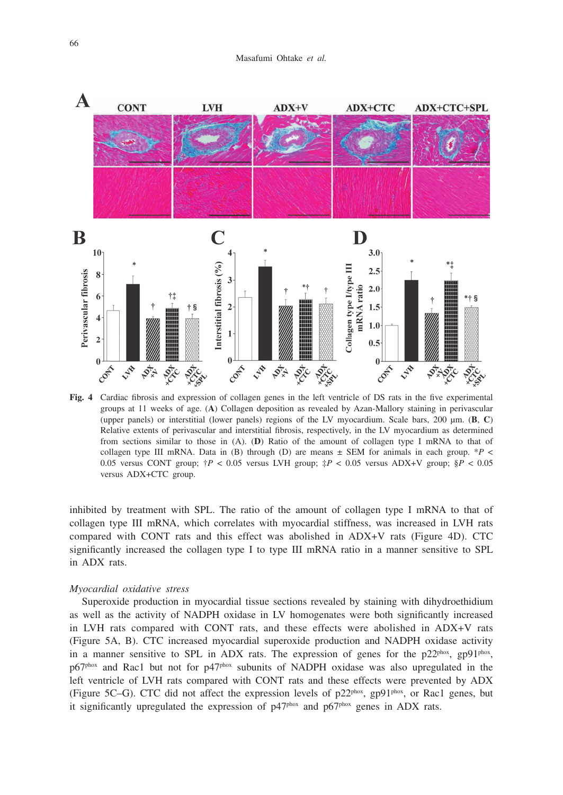

**Fig. 4** Cardiac fibrosis and expression of collagen genes in the left ventricle of DS rats in the five experimental groups at 11 weeks of age. (**A**) Collagen deposition as revealed by Azan-Mallory staining in perivascular (upper panels) or interstitial (lower panels) regions of the LV myocardium. Scale bars, 200 µm. (**B**, **C**) Relative extents of perivascular and interstitial fibrosis, respectively, in the LV myocardium as determined from sections similar to those in (A). (**D**) Ratio of the amount of collagen type I mRNA to that of collagen type III mRNA. Data in (B) through (D) are means  $\pm$  SEM for animals in each group. \**P* < 0.05 versus CONT group; †*P* < 0.05 versus LVH group; ‡*P* < 0.05 versus ADX+V group; §*P* < 0.05 versus ADX+CTC group.

inhibited by treatment with SPL. The ratio of the amount of collagen type I mRNA to that of collagen type III mRNA, which correlates with myocardial stiffness, was increased in LVH rats compared with CONT rats and this effect was abolished in ADX+V rats (Figure 4D). CTC significantly increased the collagen type I to type III mRNA ratio in a manner sensitive to SPL in ADX rats.

#### *Myocardial oxidative stress*

Superoxide production in myocardial tissue sections revealed by staining with dihydroethidium as well as the activity of NADPH oxidase in LV homogenates were both significantly increased in LVH rats compared with CONT rats, and these effects were abolished in ADX+V rats (Figure 5A, B). CTC increased myocardial superoxide production and NADPH oxidase activity in a manner sensitive to SPL in ADX rats. The expression of genes for the  $p22^{pbox}$ ,  $gp91^{pbox}$ , p67<sup>phox</sup> and Rac1 but not for p47<sup>phox</sup> subunits of NADPH oxidase was also upregulated in the left ventricle of LVH rats compared with CONT rats and these effects were prevented by ADX (Figure 5C–G). CTC did not affect the expression levels of  $p22^{phox}$ ,  $gp91^{phox}$ , or Rac1 genes, but it significantly upregulated the expression of  $p47<sup>phox</sup>$  and  $p67<sup>phox</sup>$  genes in ADX rats.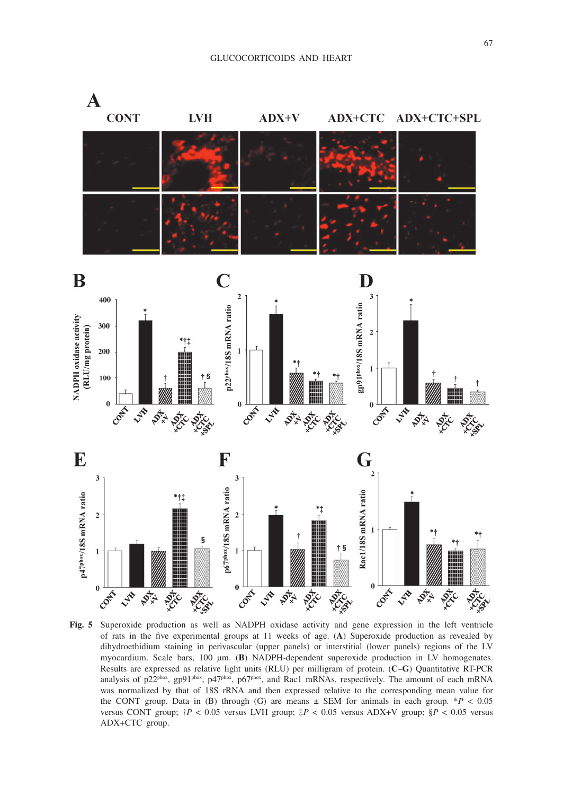

**Fig. 5** Superoxide production as well as NADPH oxidase activity and gene expression in the left ventricle of rats in the five experimental groups at 11 weeks of age. (**A**) Superoxide production as revealed by dihydroethidium staining in perivascular (upper panels) or interstitial (lower panels) regions of the LV myocardium. Scale bars, 100 µm. (**B**) NADPH-dependent superoxide production in LV homogenates. Results are expressed as relative light units (RLU) per milligram of protein. (**C**–**G**) Quantitative RT-PCR analysis of p22<sup>phox</sup>, gp91<sup>phox</sup>, p47<sup>phox</sup>, p67<sup>phox</sup>, and Rac1 mRNAs, respectively. The amount of each mRNA was normalized by that of 18S rRNA and then expressed relative to the corresponding mean value for the CONT group. Data in (B) through (G) are means  $\pm$  SEM for animals in each group. \**P* < 0.05 versus CONT group;  $\frac{4}{7}P < 0.05$  versus LVH group;  $\frac{4}{7}P < 0.05$  versus ADX+V group;  $\frac{8}{5}P < 0.05$  versus ADX+CTC group.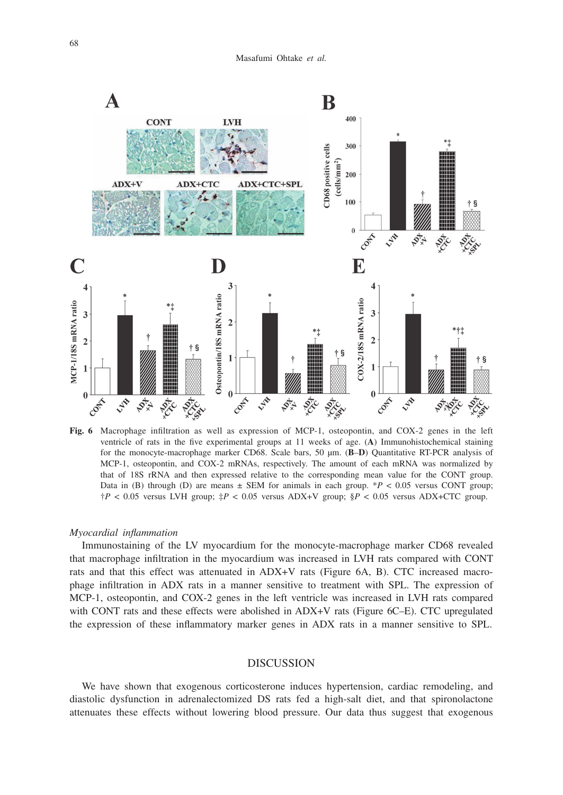

**Fig. 6** Macrophage infiltration as well as expression of MCP-1, osteopontin, and COX-2 genes in the left ventricle of rats in the five experimental groups at 11 weeks of age. (**A**) Immunohistochemical staining for the monocyte-macrophage marker CD68. Scale bars, 50 µm. (**B**–**D**) Quantitative RT-PCR analysis of MCP-1, osteopontin, and COX-2 mRNAs, respectively. The amount of each mRNA was normalized by that of 18S rRNA and then expressed relative to the corresponding mean value for the CONT group. Data in (B) through (D) are means  $\pm$  SEM for animals in each group. \**P* < 0.05 versus CONT group; †*P* < 0.05 versus LVH group; ‡*P* < 0.05 versus ADX+V group; §*P* < 0.05 versus ADX+CTC group.

#### *Myocardial inflammation*

Immunostaining of the LV myocardium for the monocyte-macrophage marker CD68 revealed that macrophage infiltration in the myocardium was increased in LVH rats compared with CONT rats and that this effect was attenuated in ADX+V rats (Figure 6A, B). CTC increased macrophage infiltration in ADX rats in a manner sensitive to treatment with SPL. The expression of MCP-1, osteopontin, and COX-2 genes in the left ventricle was increased in LVH rats compared with CONT rats and these effects were abolished in ADX+V rats (Figure 6C–E). CTC upregulated the expression of these inflammatory marker genes in ADX rats in a manner sensitive to SPL.

# DISCUSSION

We have shown that exogenous corticosterone induces hypertension, cardiac remodeling, and diastolic dysfunction in adrenalectomized DS rats fed a high-salt diet, and that spironolactone attenuates these effects without lowering blood pressure. Our data thus suggest that exogenous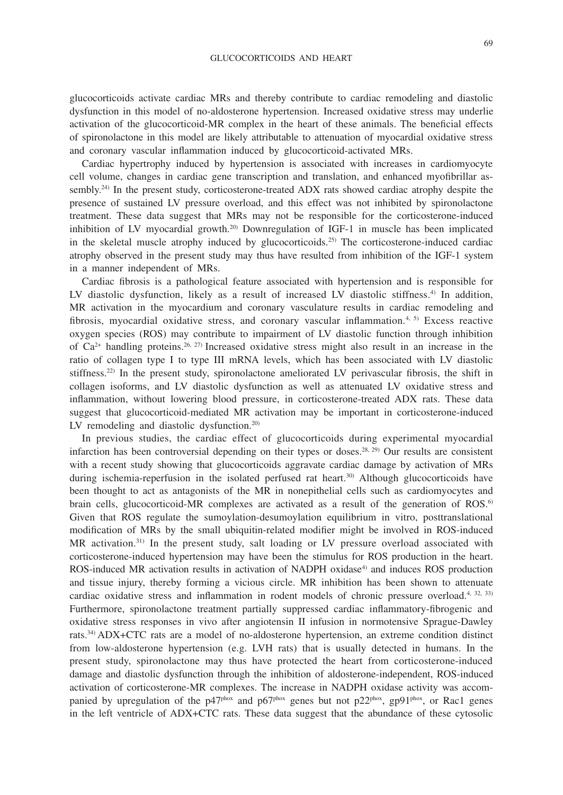glucocorticoids activate cardiac MRs and thereby contribute to cardiac remodeling and diastolic dysfunction in this model of no-aldosterone hypertension. Increased oxidative stress may underlie activation of the glucocorticoid-MR complex in the heart of these animals. The beneficial effects of spironolactone in this model are likely attributable to attenuation of myocardial oxidative stress and coronary vascular inflammation induced by glucocorticoid-activated MRs.

Cardiac hypertrophy induced by hypertension is associated with increases in cardiomyocyte cell volume, changes in cardiac gene transcription and translation, and enhanced myofibrillar assembly.<sup>24)</sup> In the present study, corticosterone-treated ADX rats showed cardiac atrophy despite the presence of sustained LV pressure overload, and this effect was not inhibited by spironolactone treatment. These data suggest that MRs may not be responsible for the corticosterone-induced inhibition of LV myocardial growth.20) Downregulation of IGF-1 in muscle has been implicated in the skeletal muscle atrophy induced by glucocorticoids.<sup>25)</sup> The corticosterone-induced cardiac atrophy observed in the present study may thus have resulted from inhibition of the IGF-1 system in a manner independent of MRs.

Cardiac fibrosis is a pathological feature associated with hypertension and is responsible for LV diastolic dysfunction, likely as a result of increased LV diastolic stiffness.<sup>4)</sup> In addition, MR activation in the myocardium and coronary vasculature results in cardiac remodeling and fibrosis, myocardial oxidative stress, and coronary vascular inflammation.<sup>4, 5)</sup> Excess reactive oxygen species (ROS) may contribute to impairment of LV diastolic function through inhibition of  $Ca^{2+}$  handling proteins.<sup>26, 27)</sup> Increased oxidative stress might also result in an increase in the ratio of collagen type I to type III mRNA levels, which has been associated with LV diastolic stiffness.22) In the present study, spironolactone ameliorated LV perivascular fibrosis, the shift in collagen isoforms, and LV diastolic dysfunction as well as attenuated LV oxidative stress and inflammation, without lowering blood pressure, in corticosterone-treated ADX rats. These data suggest that glucocorticoid-mediated MR activation may be important in corticosterone-induced LV remodeling and diastolic dysfunction.<sup>20)</sup>

In previous studies, the cardiac effect of glucocorticoids during experimental myocardial infarction has been controversial depending on their types or doses.<sup>28, 29)</sup> Our results are consistent with a recent study showing that glucocorticoids aggravate cardiac damage by activation of MRs during ischemia-reperfusion in the isolated perfused rat heart.<sup>30</sup> Although glucocorticoids have been thought to act as antagonists of the MR in nonepithelial cells such as cardiomyocytes and brain cells, glucocorticoid-MR complexes are activated as a result of the generation of ROS.<sup>6)</sup> Given that ROS regulate the sumoylation-desumoylation equilibrium in vitro, posttranslational modification of MRs by the small ubiquitin-related modifier might be involved in ROS-induced MR activation.<sup>31)</sup> In the present study, salt loading or LV pressure overload associated with corticosterone-induced hypertension may have been the stimulus for ROS production in the heart. ROS-induced MR activation results in activation of NADPH oxidase<sup>4)</sup> and induces ROS production and tissue injury, thereby forming a vicious circle. MR inhibition has been shown to attenuate cardiac oxidative stress and inflammation in rodent models of chronic pressure overload.<sup>4, 32, 33)</sup> Furthermore, spironolactone treatment partially suppressed cardiac inflammatory-fibrogenic and oxidative stress responses in vivo after angiotensin II infusion in normotensive Sprague-Dawley rats.34) ADX+CTC rats are a model of no-aldosterone hypertension, an extreme condition distinct from low-aldosterone hypertension (e.g. LVH rats) that is usually detected in humans. In the present study, spironolactone may thus have protected the heart from corticosterone-induced damage and diastolic dysfunction through the inhibition of aldosterone-independent, ROS-induced activation of corticosterone-MR complexes. The increase in NADPH oxidase activity was accompanied by upregulation of the p47<sup>phox</sup> and p67<sup>phox</sup> genes but not p22<sup>phox</sup>, gp91<sup>phox</sup>, or Rac1 genes in the left ventricle of ADX+CTC rats. These data suggest that the abundance of these cytosolic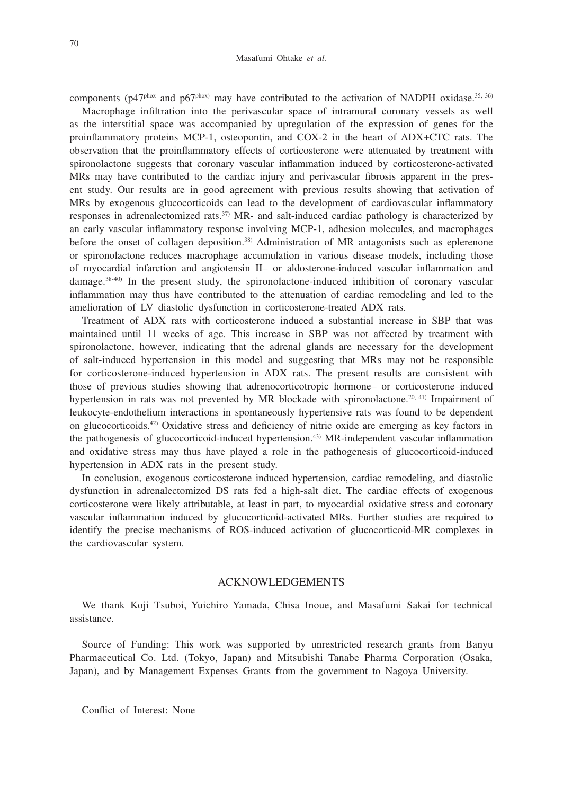components ( $p47<sup>phox</sup>$  and  $p67<sup>phox</sup>$ ) may have contributed to the activation of NADPH oxidase.<sup>35, 36)</sup>

Macrophage infiltration into the perivascular space of intramural coronary vessels as well as the interstitial space was accompanied by upregulation of the expression of genes for the proinflammatory proteins MCP-1, osteopontin, and COX-2 in the heart of ADX+CTC rats. The observation that the proinflammatory effects of corticosterone were attenuated by treatment with spironolactone suggests that coronary vascular inflammation induced by corticosterone-activated MRs may have contributed to the cardiac injury and perivascular fibrosis apparent in the present study. Our results are in good agreement with previous results showing that activation of MRs by exogenous glucocorticoids can lead to the development of cardiovascular inflammatory responses in adrenalectomized rats.37) MR- and salt-induced cardiac pathology is characterized by an early vascular inflammatory response involving MCP-1, adhesion molecules, and macrophages before the onset of collagen deposition.<sup>38)</sup> Administration of MR antagonists such as eplerenone or spironolactone reduces macrophage accumulation in various disease models, including those of myocardial infarction and angiotensin II– or aldosterone-induced vascular inflammation and damage.38-40) In the present study, the spironolactone-induced inhibition of coronary vascular inflammation may thus have contributed to the attenuation of cardiac remodeling and led to the amelioration of LV diastolic dysfunction in corticosterone-treated ADX rats.

Treatment of ADX rats with corticosterone induced a substantial increase in SBP that was maintained until 11 weeks of age. This increase in SBP was not affected by treatment with spironolactone, however, indicating that the adrenal glands are necessary for the development of salt-induced hypertension in this model and suggesting that MRs may not be responsible for corticosterone-induced hypertension in ADX rats. The present results are consistent with those of previous studies showing that adrenocorticotropic hormone– or corticosterone–induced hypertension in rats was not prevented by MR blockade with spironolactone.<sup>20, 41)</sup> Impairment of leukocyte-endothelium interactions in spontaneously hypertensive rats was found to be dependent on glucocorticoids.42) Oxidative stress and deficiency of nitric oxide are emerging as key factors in the pathogenesis of glucocorticoid-induced hypertension.43) MR-independent vascular inflammation and oxidative stress may thus have played a role in the pathogenesis of glucocorticoid-induced hypertension in ADX rats in the present study.

In conclusion, exogenous corticosterone induced hypertension, cardiac remodeling, and diastolic dysfunction in adrenalectomized DS rats fed a high-salt diet. The cardiac effects of exogenous corticosterone were likely attributable, at least in part, to myocardial oxidative stress and coronary vascular inflammation induced by glucocorticoid-activated MRs. Further studies are required to identify the precise mechanisms of ROS-induced activation of glucocorticoid-MR complexes in the cardiovascular system.

# ACKNOWLEDGEMENTS

We thank Koji Tsuboi, Yuichiro Yamada, Chisa Inoue, and Masafumi Sakai for technical assistance.

Source of Funding: This work was supported by unrestricted research grants from Banyu Pharmaceutical Co. Ltd. (Tokyo, Japan) and Mitsubishi Tanabe Pharma Corporation (Osaka, Japan), and by Management Expenses Grants from the government to Nagoya University.

Conflict of Interest: None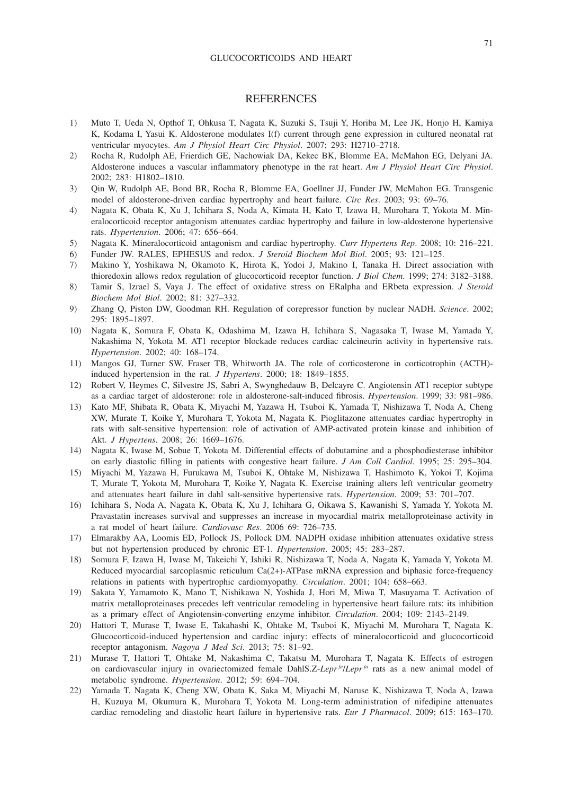#### GLUCOCORTICOIDS AND HEART

# **REFERENCES**

- 1) Muto T, Ueda N, Opthof T, Ohkusa T, Nagata K, Suzuki S, Tsuji Y, Horiba M, Lee JK, Honjo H, Kamiya K, Kodama I, Yasui K. Aldosterone modulates I(f) current through gene expression in cultured neonatal rat ventricular myocytes. *Am J Physiol Heart Circ Physiol*. 2007; 293: H2710–2718.
- 2) Rocha R, Rudolph AE, Frierdich GE, Nachowiak DA, Kekec BK, Blomme EA, McMahon EG, Delyani JA. Aldosterone induces a vascular inflammatory phenotype in the rat heart. *Am J Physiol Heart Circ Physiol*. 2002; 283: H1802–1810.
- 3) Qin W, Rudolph AE, Bond BR, Rocha R, Blomme EA, Goellner JJ, Funder JW, McMahon EG. Transgenic model of aldosterone-driven cardiac hypertrophy and heart failure. *Circ Res*. 2003; 93: 69–76.
- 4) Nagata K, Obata K, Xu J, Ichihara S, Noda A, Kimata H, Kato T, Izawa H, Murohara T, Yokota M. Mineralocorticoid receptor antagonism attenuates cardiac hypertrophy and failure in low-aldosterone hypertensive rats. *Hypertension*. 2006; 47: 656–664.
- 5) Nagata K. Mineralocorticoid antagonism and cardiac hypertrophy. *Curr Hypertens Rep*. 2008; 10: 216–221.
- 6) Funder JW. RALES, EPHESUS and redox. *J Steroid Biochem Mol Biol*. 2005; 93: 121–125.
- 7) Makino Y, Yoshikawa N, Okamoto K, Hirota K, Yodoi J, Makino I, Tanaka H. Direct association with thioredoxin allows redox regulation of glucocorticoid receptor function. *J Biol Chem*. 1999; 274: 3182–3188.
- 8) Tamir S, Izrael S, Vaya J. The effect of oxidative stress on ERalpha and ERbeta expression. *J Steroid Biochem Mol Biol*. 2002; 81: 327–332.
- 9) Zhang Q, Piston DW, Goodman RH. Regulation of corepressor function by nuclear NADH. *Science*. 2002; 295: 1895–1897.
- 10) Nagata K, Somura F, Obata K, Odashima M, Izawa H, Ichihara S, Nagasaka T, Iwase M, Yamada Y, Nakashima N, Yokota M. AT1 receptor blockade reduces cardiac calcineurin activity in hypertensive rats. *Hypertension*. 2002; 40: 168–174.
- 11) Mangos GJ, Turner SW, Fraser TB, Whitworth JA. The role of corticosterone in corticotrophin (ACTH) induced hypertension in the rat. *J Hypertens*. 2000; 18: 1849–1855.
- 12) Robert V, Heymes C, Silvestre JS, Sabri A, Swynghedauw B, Delcayre C. Angiotensin AT1 receptor subtype as a cardiac target of aldosterone: role in aldosterone-salt-induced fibrosis. *Hypertension*. 1999; 33: 981–986.
- 13) Kato MF, Shibata R, Obata K, Miyachi M, Yazawa H, Tsuboi K, Yamada T, Nishizawa T, Noda A, Cheng XW, Murate T, Koike Y, Murohara T, Yokota M, Nagata K. Pioglitazone attenuates cardiac hypertrophy in rats with salt-sensitive hypertension: role of activation of AMP-activated protein kinase and inhibition of Akt. *J Hypertens*. 2008; 26: 1669–1676.
- 14) Nagata K, Iwase M, Sobue T, Yokota M. Differential effects of dobutamine and a phosphodiesterase inhibitor on early diastolic filling in patients with congestive heart failure. *J Am Coll Cardiol*. 1995; 25: 295–304.
- 15) Miyachi M, Yazawa H, Furukawa M, Tsuboi K, Ohtake M, Nishizawa T, Hashimoto K, Yokoi T, Kojima T, Murate T, Yokota M, Murohara T, Koike Y, Nagata K. Exercise training alters left ventricular geometry and attenuates heart failure in dahl salt-sensitive hypertensive rats. *Hypertension*. 2009; 53: 701–707.
- 16) Ichihara S, Noda A, Nagata K, Obata K, Xu J, Ichihara G, Oikawa S, Kawanishi S, Yamada Y, Yokota M. Pravastatin increases survival and suppresses an increase in myocardial matrix metalloproteinase activity in a rat model of heart failure. *Cardiovasc Res*. 2006 69: 726–735.
- 17) Elmarakby AA, Loomis ED, Pollock JS, Pollock DM. NADPH oxidase inhibition attenuates oxidative stress but not hypertension produced by chronic ET-1. *Hypertension*. 2005; 45: 283–287.
- 18) Somura F, Izawa H, Iwase M, Takeichi Y, Ishiki R, Nishizawa T, Noda A, Nagata K, Yamada Y, Yokota M. Reduced myocardial sarcoplasmic reticulum Ca(2+)-ATPase mRNA expression and biphasic force-frequency relations in patients with hypertrophic cardiomyopathy. *Circulation*. 2001; 104: 658–663.
- 19) Sakata Y, Yamamoto K, Mano T, Nishikawa N, Yoshida J, Hori M, Miwa T, Masuyama T. Activation of matrix metalloproteinases precedes left ventricular remodeling in hypertensive heart failure rats: its inhibition as a primary effect of Angiotensin-converting enzyme inhibitor. *Circulation*. 2004; 109: 2143–2149.
- 20) Hattori T, Murase T, Iwase E, Takahashi K, Ohtake M, Tsuboi K, Miyachi M, Murohara T, Nagata K. Glucocorticoid-induced hypertension and cardiac injury: effects of mineralocorticoid and glucocorticoid receptor antagonism. *Nagoya J Med Sci*. 2013; 75: 81–92.
- 21) Murase T, Hattori T, Ohtake M, Nakashima C, Takatsu M, Murohara T, Nagata K. Effects of estrogen on cardiovascular injury in ovariectomized female DahlS.Z-*Lepr<sup>fa</sup>*/*Lepr<sup>fa</sup>* rats as a new animal model of metabolic syndrome. *Hypertension*. 2012; 59: 694–704.
- 22) Yamada T, Nagata K, Cheng XW, Obata K, Saka M, Miyachi M, Naruse K, Nishizawa T, Noda A, Izawa H, Kuzuya M, Okumura K, Murohara T, Yokota M. Long-term administration of nifedipine attenuates cardiac remodeling and diastolic heart failure in hypertensive rats. *Eur J Pharmacol*. 2009; 615: 163–170.